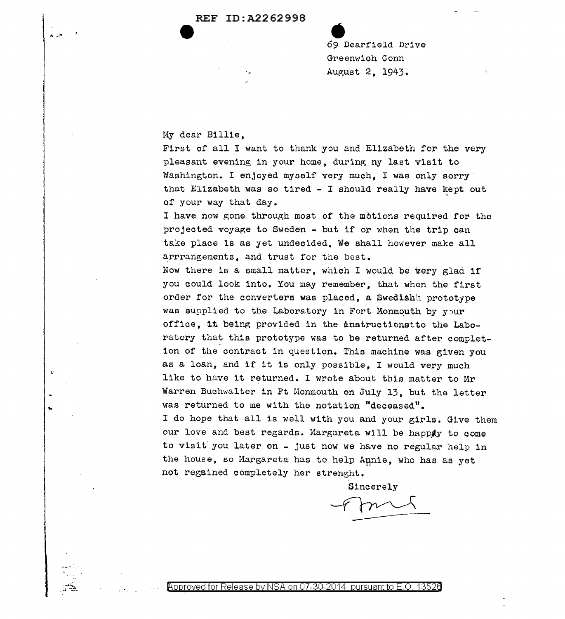## REF ID:A226299B  $\bullet$

<sup>69</sup>• Dearfield Drive Greenwich Conn August 2, 1943.

## My dear Billie,

)."

..

 $\cdot \frac{1}{2}$  .

First of all I want to thank you and Elizabeth for the very pleasant evening in your home, during ny last visit to Washington. I enjoyed myself very much, I was only sorry that Elizabeth was so tired - I should really have kept out of your way that day.

I have now gone through most of the motions required for the projected voyage to Sweden - but if or when the trip can take place ls as yet undecided. We shall however make all arrrangements, and trust for the best.

Now there is a small matter, which I would be very glad if you could look into. You may remember, that when the first order for the converters was placed, a Swedishh prototype was supplied to the Laboratory in Fort Monmouth by  $y \supset u$ office, 1t being provided in the inatructionstto the Laboratory that this prototype was to be returned after completion of the contract in question. This machine was given you as a loan, and if it is only possible, I would very much like to have it returned. I wrote about this matter to Mr Warren Buchwalter in Ft Monmouth on July 13, but the letter was returned to me with the notation "deceased". I do hope that all is well with you and your girls. Give them our love and best regards. Margareta will be happony to come to visit' you later on - just now we have no regular help in the house, so Margareta has to help Annie, who has as yet not regained completely her strenght.

Sincerely

Fmil